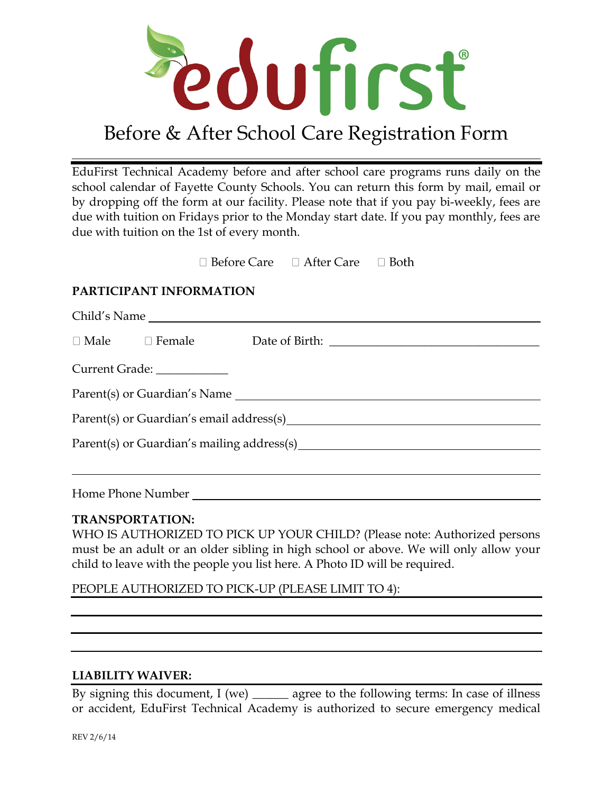

## Before & After School Care Registration Form

EduFirst Technical Academy before and after school care programs runs daily on the school calendar of Fayette County Schools. You can return this form by mail, email or by dropping off the form at our facility. Please note that if you pay bi-weekly, fees are due with tuition on Fridays prior to the Monday start date. If you pay monthly, fees are due with tuition on the 1st of every month.

> $\Box$  Before Care  $\Box$  After Care  $\Box$  Both

## **PARTICIPANT INFORMATION**

|  |                             | Child's Name                               |  |
|--|-----------------------------|--------------------------------------------|--|
|  |                             |                                            |  |
|  | Current Grade: ____________ |                                            |  |
|  |                             | Parent(s) or Guardian's Name               |  |
|  |                             |                                            |  |
|  |                             | Parent(s) or Guardian's mailing address(s) |  |
|  |                             |                                            |  |
|  |                             | Home Phone Number                          |  |

## **TRANSPORTATION:**

WHO IS AUTHORIZED TO PICK UP YOUR CHILD? (Please note: Authorized persons must be an adult or an older sibling in high school or above. We will only allow your child to leave with the people you list here. A Photo ID will be required.

PEOPLE AUTHORIZED TO PICK-UP (PLEASE LIMIT TO 4):

## **LIABILITY WAIVER:**

By signing this document, I (we) \_\_\_\_\_\_\_ agree to the following terms: In case of illness or accident, EduFirst Technical Academy is authorized to secure emergency medical